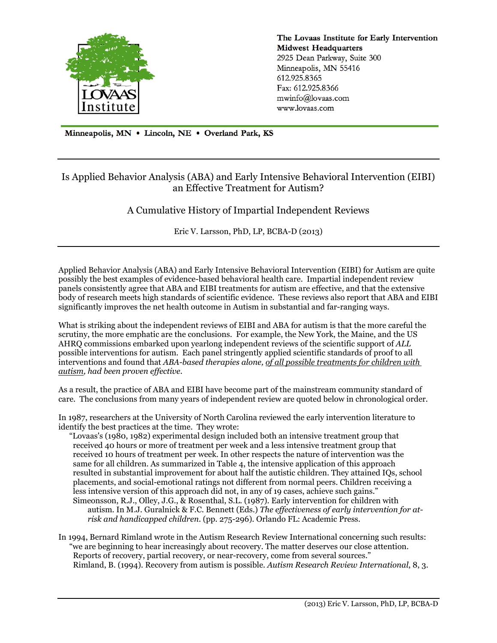

The Lovaas Institute for Early Intervention **Midwest Headquarters** 2925 Dean Parkway, Suite 300 Minneapolis, MN 55416 612.925.8365 Fax: 612.925.8366 mwinfo@lovaas.com www.lovaas.com

Minneapolis, MN . Lincoln, NE . Overland Park, KS

# Is Applied Behavior Analysis (ABA) and Early Intensive Behavioral Intervention (EIBI) an Effective Treatment for Autism?

A Cumulative History of Impartial Independent Reviews

Eric V. Larsson, PhD, LP, BCBA-D (2013)

Applied Behavior Analysis (ABA) and Early Intensive Behavioral Intervention (EIBI) for Autism are quite possibly the best examples of evidence-based behavioral health care. Impartial independent review panels consistently agree that ABA and EIBI treatments for autism are effective, and that the extensive body of research meets high standards of scientific evidence. These reviews also report that ABA and EIBI significantly improves the net health outcome in Autism in substantial and far-ranging ways.

What is striking about the independent reviews of EIBI and ABA for autism is that the more careful the scrutiny, the more emphatic are the conclusions. For example, the New York, the Maine, and the US AHRQ commissions embarked upon yearlong independent reviews of the scientific support of *ALL* possible interventions for autism. Each panel stringently applied scientific standards of proof to all interventions and found that *ABA-based therapies alone, of all possible treatments for children with autism, had been proven effective.*

As a result, the practice of ABA and EIBI have become part of the mainstream community standard of care. The conclusions from many years of independent review are quoted below in chronological order.

In 1987, researchers at the University of North Carolina reviewed the early intervention literature to identify the best practices at the time. They wrote:

"Lovaas's (1980, 1982) experimental design included both an intensive treatment group that received 40 hours or more of treatment per week and a less intensive treatment group that received 10 hours of treatment per week. In other respects the nature of intervention was the same for all children. As summarized in Table 4, the intensive application of this approach resulted in substantial improvement for about half the autistic children. They attained IQs, school placements, and social-emotional ratings not different from normal peers. Children receiving a less intensive version of this approach did not, in any of 19 cases, achieve such gains." Simeonsson, R.J., Olley, J.G., & Rosenthal, S.L. (1987). Early intervention for children with

autism. In M.J. Guralnick & F.C. Bennett (Eds.) *The effectiveness of early intervention for atrisk and handicapped children.* (pp. 275-296). Orlando FL: Academic Press.

In 1994, Bernard Rimland wrote in the Autism Research Review International concerning such results: "we are beginning to hear increasingly about recovery. The matter deserves our close attention. Reports of recovery, partial recovery, or near-recovery, come from several sources." Rimland, B. (1994). Recovery from autism is possible. *Autism Research Review International*, 8, 3.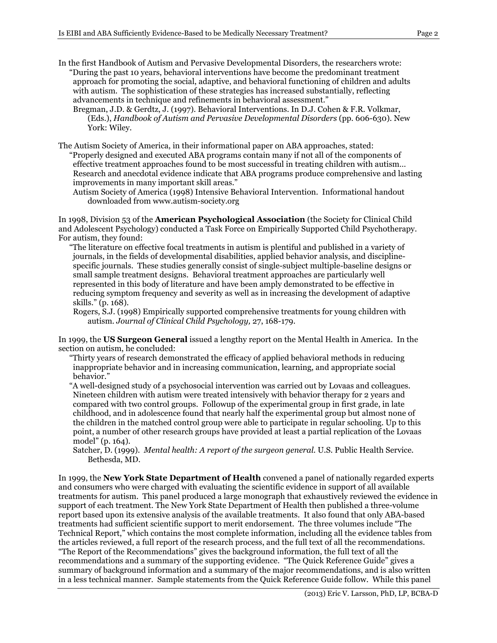- In the first Handbook of Autism and Pervasive Developmental Disorders, the researchers wrote: "During the past 10 years, behavioral interventions have become the predominant treatment approach for promoting the social, adaptive, and behavioral functioning of children and adults with autism. The sophistication of these strategies has increased substantially, reflecting advancements in technique and refinements in behavioral assessment."
	- Bregman, J.D. & Gerdtz, J. (1997). Behavioral Interventions. In D.J. Cohen & F.R. Volkmar, (Eds.), *Handbook of Autism and Pervasive Developmental Disorders* (pp. 606-630). New York: Wiley.
- The Autism Society of America, in their informational paper on ABA approaches, stated: "Properly designed and executed ABA programs contain many if not all of the components of effective treatment approaches found to be most successful in treating children with autism… Research and anecdotal evidence indicate that ABA programs produce comprehensive and lasting improvements in many important skill areas."
	- Autism Society of America (1998) Intensive Behavioral Intervention. Informational handout downloaded from www.autism-society.org

In 1998, Division 53 of the **American Psychological Association** (the Society for Clinical Child and Adolescent Psychology) conducted a Task Force on Empirically Supported Child Psychotherapy. For autism, they found:

"The literature on effective focal treatments in autism is plentiful and published in a variety of journals, in the fields of developmental disabilities, applied behavior analysis, and disciplinespecific journals. These studies generally consist of single-subject multiple-baseline designs or small sample treatment designs. Behavioral treatment approaches are particularly well represented in this body of literature and have been amply demonstrated to be effective in reducing symptom frequency and severity as well as in increasing the development of adaptive skills." (p. 168).

Rogers, S.J. (1998) Empirically supported comprehensive treatments for young children with autism. *Journal of Clinical Child Psychology,* 27, 168-179.

In 1999, the **US Surgeon General** issued a lengthy report on the Mental Health in America. In the section on autism, he concluded:

"Thirty years of research demonstrated the efficacy of applied behavioral methods in reducing inappropriate behavior and in increasing communication, learning, and appropriate social behavior."

- "A well-designed study of a psychosocial intervention was carried out by Lovaas and colleagues. Nineteen children with autism were treated intensively with behavior therapy for 2 years and compared with two control groups. Followup of the experimental group in first grade, in late childhood, and in adolescence found that nearly half the experimental group but almost none of the children in the matched control group were able to participate in regular schooling. Up to this point, a number of other research groups have provided at least a partial replication of the Lovaas model" (p. 164).
- Satcher, D. (1999). *Mental health: A report of the surgeon general.* U.S. Public Health Service. Bethesda, MD.

In 1999, the **New York State Department of Health** convened a panel of nationally regarded experts and consumers who were charged with evaluating the scientific evidence in support of all available treatments for autism. This panel produced a large monograph that exhaustively reviewed the evidence in support of each treatment. The New York State Department of Health then published a three-volume report based upon its extensive analysis of the available treatments. It also found that only ABA-based treatments had sufficient scientific support to merit endorsement. The three volumes include "The Technical Report," which contains the most complete information, including all the evidence tables from the articles reviewed, a full report of the research process, and the full text of all the recommendations. "The Report of the Recommendations" gives the background information, the full text of all the recommendations and a summary of the supporting evidence. "The Quick Reference Guide" gives a summary of background information and a summary of the major recommendations, and is also written in a less technical manner. Sample statements from the Quick Reference Guide follow. While this panel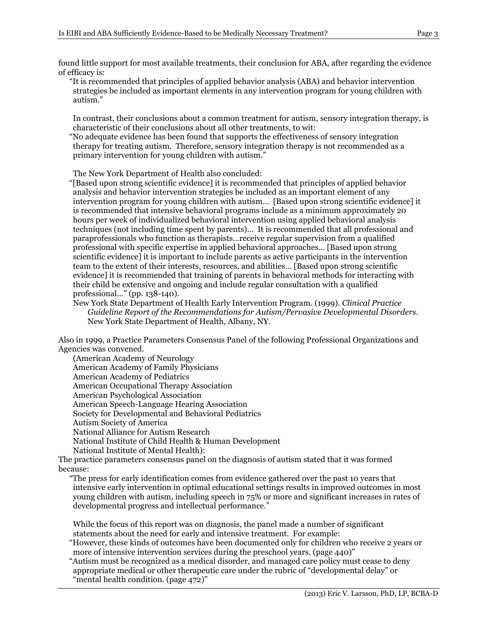found little support for most available treatments, their conclusion for ABA, after regarding the evidence of efficacy is:

"It is recommended that principles of applied behavior analysis (ABA) and behavior intervention strategies be included as important elements in any intervention program for young children with autism."

In contrast, their conclusions about a common treatment for autism, sensory integration therapy, is characteristic of their conclusions about all other treatments, to wit:

"No adequate evidence has been found that supports the effectiveness of sensory integration therapy for treating autism. Therefore, sensory integration therapy is not recommended as a primary intervention for young children with autism."

The New York Department of Health also concluded:

"[Based upon strong scientific evidence] it is recommended that principles of applied behavior analysis and behavior intervention strategies be included as an important element of any intervention program for young children with autism… [Based upon strong scientific evidence] it is recommended that intensive behavioral programs include as a minimum approximately 20 hours per week of individualized behavioral intervention using applied behavioral analysis techniques (not including time spent by parents)… It is recommended that all professional and paraprofessionals who function as therapists…receive regular supervision from a qualified professional with specific expertise in applied behavioral approaches… [Based upon strong scientific evidence] it is important to include parents as active participants in the intervention team to the extent of their interests, resources, and abilities… [Based upon strong scientific evidence] it is recommended that training of parents in behavioral methods for interacting with their child be extensive and ongoing and include regular consultation with a qualified professional…" (pp. 138-140).

New York State Department of Health Early Intervention Program. (1999). *Clinical Practice Guideline Report of the Recommendations for Autism/Pervasive Developmental Disorders*. New York State Department of Health, Albany, NY.

Also in 1999, a Practice Parameters Consensus Panel of the following Professional Organizations and Agencies was convened.

(American Academy of Neurology American Academy of Family Physicians American Academy of Pediatrics American Occupational Therapy Association American Psychological Association American Speech-Language Hearing Association Society for Developmental and Behavioral Pediatrics Autism Society of America National Alliance for Autism Research National Institute of Child Health & Human Development National Institute of Mental Health):

The practice parameters consensus panel on the diagnosis of autism stated that it was formed because:

"The press for early identification comes from evidence gathered over the past 10 years that intensive early intervention in optimal educational settings results in improved outcomes in most young children with autism, including speech in 75% or more and significant increases in rates of developmental progress and intellectual performance."

While the focus of this report was on diagnosis, the panel made a number of significant statements about the need for early and intensive treatment. For example:

"However, these kinds of outcomes have been documented only for children who receive 2 years or more of intensive intervention services during the preschool years. (page 440)"

"Autism must be recognized as a medical disorder, and managed care policy must cease to deny appropriate medical or other therapeutic care under the rubric of "developmental delay" or "mental health condition. (page 472)"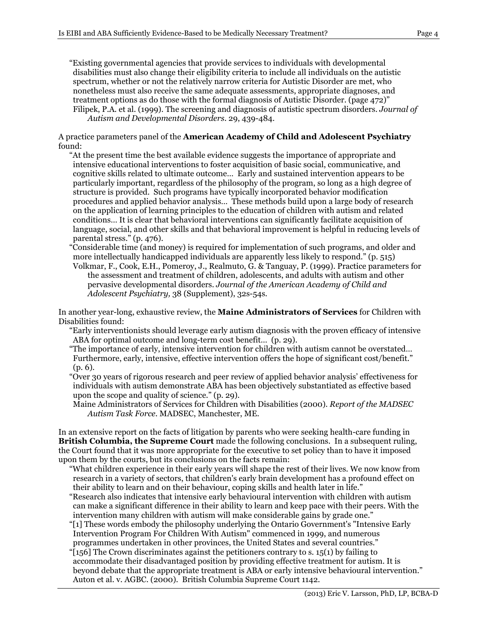"Existing governmental agencies that provide services to individuals with developmental disabilities must also change their eligibility criteria to include all individuals on the autistic spectrum, whether or not the relatively narrow criteria for Autistic Disorder are met, who nonetheless must also receive the same adequate assessments, appropriate diagnoses, and treatment options as do those with the formal diagnosis of Autistic Disorder. (page 472)" Filipek, P.A. et al. (1999). The screening and diagnosis of autistic spectrum disorders. *Journal of Autism and Developmental Disorders*. 29, 439-484.

A practice parameters panel of the **American Academy of Child and Adolescent Psychiatry** found:

"At the present time the best available evidence suggests the importance of appropriate and intensive educational interventions to foster acquisition of basic social, communicative, and cognitive skills related to ultimate outcome… Early and sustained intervention appears to be particularly important, regardless of the philosophy of the program, so long as a high degree of structure is provided. Such programs have typically incorporated behavior modification procedures and applied behavior analysis… These methods build upon a large body of research on the application of learning principles to the education of children with autism and related conditions… It is clear that behavioral interventions can significantly facilitate acquisition of language, social, and other skills and that behavioral improvement is helpful in reducing levels of parental stress." (p. 476).

- "Considerable time (and money) is required for implementation of such programs, and older and more intellectually handicapped individuals are apparently less likely to respond." (p. 515) Volkmar, F., Cook, E.H., Pomeroy, J., Realmuto, G. & Tanguay, P. (1999). Practice parameters for
- the assessment and treatment of children, adolescents, and adults with autism and other pervasive developmental disorders. *Journal of the American Academy of Child and Adolescent Psychiatry,* 38 (Supplement), 32s-54s.

In another year-long, exhaustive review, the **Maine Administrators of Services** for Children with Disabilities found:

- "Early interventionists should leverage early autism diagnosis with the proven efficacy of intensive ABA for optimal outcome and long-term cost benefit… (p. 29).
- "The importance of early, intensive intervention for children with autism cannot be overstated… Furthermore, early, intensive, effective intervention offers the hope of significant cost/benefit." (p. 6).
- "Over 30 years of rigorous research and peer review of applied behavior analysis' effectiveness for individuals with autism demonstrate ABA has been objectively substantiated as effective based upon the scope and quality of science." (p. 29).
- Maine Administrators of Services for Children with Disabilities (2000). *Report of the MADSEC Autism Task Force.* MADSEC, Manchester, ME.

In an extensive report on the facts of litigation by parents who were seeking health-care funding in **British Columbia, the Supreme Court** made the following conclusions. In a subsequent ruling, the Court found that it was more appropriate for the executive to set policy than to have it imposed upon them by the courts, but its conclusions on the facts remain:

- "What children experience in their early years will shape the rest of their lives. We now know from research in a variety of sectors, that children's early brain development has a profound effect on their ability to learn and on their behaviour, coping skills and health later in life." "Research also indicates that intensive early behavioural intervention with children with autism
- can make a significant difference in their ability to learn and keep pace with their peers. With the intervention many children with autism will make considerable gains by grade one."
- "[1] These words embody the philosophy underlying the Ontario Government's "Intensive Early Intervention Program For Children With Autism" commenced in 1999, and numerous programmes undertaken in other provinces, the United States and several countries."
- " $[156]$  The Crown discriminates against the petitioners contrary to s. 15(1) by failing to accommodate their disadvantaged position by providing effective treatment for autism. It is beyond debate that the appropriate treatment is ABA or early intensive behavioural intervention." Auton et al. v. AGBC. (2000). British Columbia Supreme Court 1142.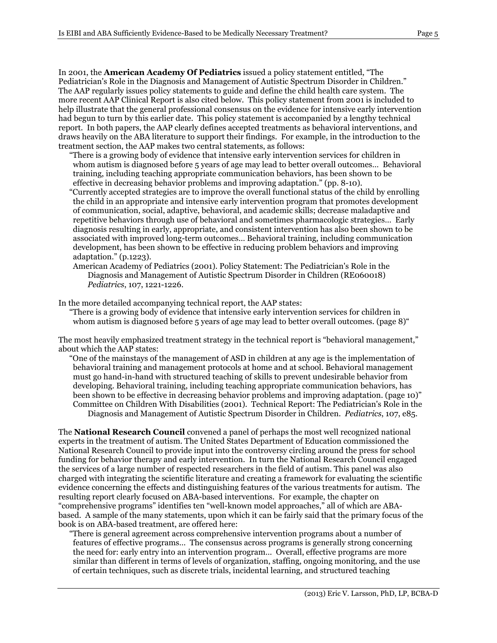In 2001, the **American Academy Of Pediatrics** issued a policy statement entitled, "The Pediatrician's Role in the Diagnosis and Management of Autistic Spectrum Disorder in Children." The AAP regularly issues policy statements to guide and define the child health care system. The more recent AAP Clinical Report is also cited below. This policy statement from 2001 is included to help illustrate that the general professional consensus on the evidence for intensive early intervention had begun to turn by this earlier date. This policy statement is accompanied by a lengthy technical report. In both papers, the AAP clearly defines accepted treatments as behavioral interventions, and draws heavily on the ABA literature to support their findings. For example, in the introduction to the treatment section, the AAP makes two central statements, as follows:

- "There is a growing body of evidence that intensive early intervention services for children in whom autism is diagnosed before 5 years of age may lead to better overall outcomes… Behavioral training, including teaching appropriate communication behaviors, has been shown to be effective in decreasing behavior problems and improving adaptation." (pp. 8-10).
- "Currently accepted strategies are to improve the overall functional status of the child by enrolling the child in an appropriate and intensive early intervention program that promotes development of communication, social, adaptive, behavioral, and academic skills; decrease maladaptive and repetitive behaviors through use of behavioral and sometimes pharmacologic strategies… Early diagnosis resulting in early, appropriate, and consistent intervention has also been shown to be associated with improved long-term outcomes… Behavioral training, including communication development, has been shown to be effective in reducing problem behaviors and improving adaptation." (p.1223).
- American Academy of Pediatrics (2001). Policy Statement: The Pediatrician's Role in the Diagnosis and Management of Autistic Spectrum Disorder in Children (RE060018) *Pediatrics*, 107, 1221-1226.

In the more detailed accompanying technical report, the AAP states:

"There is a growing body of evidence that intensive early intervention services for children in whom autism is diagnosed before  $5$  years of age may lead to better overall outcomes. (page 8)  $\degree$ 

The most heavily emphasized treatment strategy in the technical report is "behavioral management," about which the AAP states:

"One of the mainstays of the management of ASD in children at any age is the implementation of behavioral training and management protocols at home and at school. Behavioral management must go hand-in-hand with structured teaching of skills to prevent undesirable behavior from developing. Behavioral training, including teaching appropriate communication behaviors, has been shown to be effective in decreasing behavior problems and improving adaptation. (page 10)" Committee on Children With Disabilities (2001). Technical Report: The Pediatrician's Role in the Diagnosis and Management of Autistic Spectrum Disorder in Children. *Pediatrics*, 107, e85.

The **National Research Council** convened a panel of perhaps the most well recognized national experts in the treatment of autism. The United States Department of Education commissioned the National Research Council to provide input into the controversy circling around the press for school funding for behavior therapy and early intervention. In turn the National Research Council engaged the services of a large number of respected researchers in the field of autism. This panel was also charged with integrating the scientific literature and creating a framework for evaluating the scientific evidence concerning the effects and distinguishing features of the various treatments for autism. The resulting report clearly focused on ABA-based interventions. For example, the chapter on "comprehensive programs" identifies ten "well-known model approaches," all of which are ABAbased. A sample of the many statements, upon which it can be fairly said that the primary focus of the book is on ABA-based treatment, are offered here:

"There is general agreement across comprehensive intervention programs about a number of features of effective programs… The consensus across programs is generally strong concerning the need for: early entry into an intervention program… Overall, effective programs are more similar than different in terms of levels of organization, staffing, ongoing monitoring, and the use of certain techniques, such as discrete trials, incidental learning, and structured teaching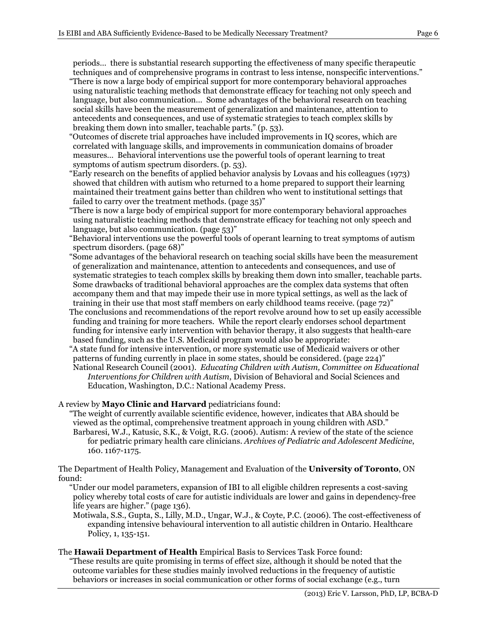periods… there is substantial research supporting the effectiveness of many specific therapeutic techniques and of comprehensive programs in contrast to less intense, nonspecific interventions."

- "There is now a large body of empirical support for more contemporary behavioral approaches using naturalistic teaching methods that demonstrate efficacy for teaching not only speech and language, but also communication… Some advantages of the behavioral research on teaching social skills have been the measurement of generalization and maintenance, attention to antecedents and consequences, and use of systematic strategies to teach complex skills by breaking them down into smaller, teachable parts." (p. 53).
- "Outcomes of discrete trial approaches have included improvements in IQ scores, which are correlated with language skills, and improvements in communication domains of broader measures… Behavioral interventions use the powerful tools of operant learning to treat symptoms of autism spectrum disorders. (p. 53).
- "Early research on the benefits of applied behavior analysis by Lovaas and his colleagues (1973) showed that children with autism who returned to a home prepared to support their learning maintained their treatment gains better than children who went to institutional settings that failed to carry over the treatment methods. (page 35)"
- "There is now a large body of empirical support for more contemporary behavioral approaches using naturalistic teaching methods that demonstrate efficacy for teaching not only speech and language, but also communication. (page 53)"
- "Behavioral interventions use the powerful tools of operant learning to treat symptoms of autism spectrum disorders. (page 68)"
- "Some advantages of the behavioral research on teaching social skills have been the measurement of generalization and maintenance, attention to antecedents and consequences, and use of systematic strategies to teach complex skills by breaking them down into smaller, teachable parts. Some drawbacks of traditional behavioral approaches are the complex data systems that often accompany them and that may impede their use in more typical settings, as well as the lack of training in their use that most staff members on early childhood teams receive. (page 72)"
- The conclusions and recommendations of the report revolve around how to set up easily accessible funding and training for more teachers. While the report clearly endorses school department funding for intensive early intervention with behavior therapy, it also suggests that health-care based funding, such as the U.S. Medicaid program would also be appropriate:
- "A state fund for intensive intervention, or more systematic use of Medicaid waivers or other patterns of funding currently in place in some states, should be considered. (page 224)" National Research Council (2001). *Educating Children with Autism, Committee on Educational Interventions for Children with Autism*, Division of Behavioral and Social Sciences and Education, Washington, D.C.: National Academy Press.

A review by **Mayo Clinic and Harvard** pediatricians found:

"The weight of currently available scientific evidence, however, indicates that ABA should be viewed as the optimal, comprehensive treatment approach in young children with ASD." Barbaresi, W.J., Katusic, S.K., & Voigt, R.G. (2006). Autism: A review of the state of the science for pediatric primary health care clinicians. *Archives of Pediatric and Adolescent Medicine*, 160. 1167-1175.

The Department of Health Policy, Management and Evaluation of the **University of Toronto**, ON found:

"Under our model parameters, expansion of IBI to all eligible children represents a cost-saving policy whereby total costs of care for autistic individuals are lower and gains in dependency-free life years are higher." (page 136).

Motiwala, S.S., Gupta, S., Lilly, M.D., Ungar, W.J., & Coyte, P.C. (2006). The cost-effectiveness of expanding intensive behavioural intervention to all autistic children in Ontario. Healthcare Policy, 1, 135-151.

The **Hawaii Department of Health** Empirical Basis to Services Task Force found: "These results are quite promising in terms of effect size, although it should be noted that the outcome variables for these studies mainly involved reductions in the frequency of autistic

behaviors or increases in social communication or other forms of social exchange (e.g., turn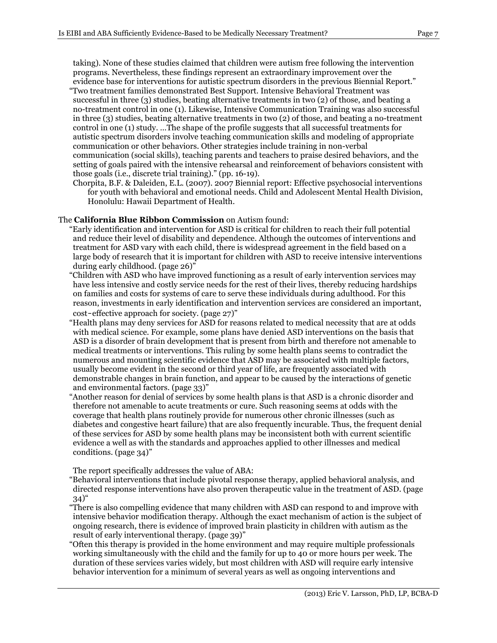taking). None of these studies claimed that children were autism free following the intervention programs. Nevertheless, these findings represent an extraordinary improvement over the evidence base for interventions for autistic spectrum disorders in the previous Biennial Report."

- "Two treatment families demonstrated Best Support. Intensive Behavioral Treatment was successful in three (3) studies, beating alternative treatments in two (2) of those, and beating a no-treatment control in one (1). Likewise, Intensive Communication Training was also successful in three (3) studies, beating alternative treatments in two (2) of those, and beating a no-treatment control in one (1) study. …The shape of the profile suggests that all successful treatments for autistic spectrum disorders involve teaching communication skills and modeling of appropriate communication or other behaviors. Other strategies include training in non-verbal communication (social skills), teaching parents and teachers to praise desired behaviors, and the setting of goals paired with the intensive rehearsal and reinforcement of behaviors consistent with those goals (i.e., discrete trial training)." (pp. 16-19).
- Chorpita, B.F. & Daleiden, E.L. (2007). 2007 Biennial report: Effective psychosocial interventions for youth with behavioral and emotional needs. Child and Adolescent Mental Health Division, Honolulu: Hawaii Department of Health.

## The **California Blue Ribbon Commission** on Autism found:

- "Early identification and intervention for ASD is critical for children to reach their full potential and reduce their level of disability and dependence. Although the outcomes of interventions and treatment for ASD vary with each child, there is widespread agreement in the field based on a large body of research that it is important for children with ASD to receive intensive interventions during early childhood. (page 26)"
- "Children with ASD who have improved functioning as a result of early intervention services may have less intensive and costly service needs for the rest of their lives, thereby reducing hardships on families and costs for systems of care to serve these individuals during adulthood. For this reason, investments in early identification and intervention services are considered an important, cost‐effective approach for society. (page 27)"
- "Health plans may deny services for ASD for reasons related to medical necessity that are at odds with medical science. For example, some plans have denied ASD interventions on the basis that ASD is a disorder of brain development that is present from birth and therefore not amenable to medical treatments or interventions. This ruling by some health plans seems to contradict the numerous and mounting scientific evidence that ASD may be associated with multiple factors, usually become evident in the second or third year of life, are frequently associated with demonstrable changes in brain function, and appear to be caused by the interactions of genetic and environmental factors. (page 33)"
- "Another reason for denial of services by some health plans is that ASD is a chronic disorder and therefore not amenable to acute treatments or cure. Such reasoning seems at odds with the coverage that health plans routinely provide for numerous other chronic illnesses (such as diabetes and congestive heart failure) that are also frequently incurable. Thus, the frequent denial of these services for ASD by some health plans may be inconsistent both with current scientific evidence a well as with the standards and approaches applied to other illnesses and medical conditions. (page 34)"

The report specifically addresses the value of ABA:

- "Behavioral interventions that include pivotal response therapy, applied behavioral analysis, and directed response interventions have also proven therapeutic value in the treatment of ASD. (page  $(34)$ "
- "There is also compelling evidence that many children with ASD can respond to and improve with intensive behavior modification therapy. Although the exact mechanism of action is the subject of ongoing research, there is evidence of improved brain plasticity in children with autism as the result of early interventional therapy. (page 39)"
- "Often this therapy is provided in the home environment and may require multiple professionals working simultaneously with the child and the family for up to 40 or more hours per week. The duration of these services varies widely, but most children with ASD will require early intensive behavior intervention for a minimum of several years as well as ongoing interventions and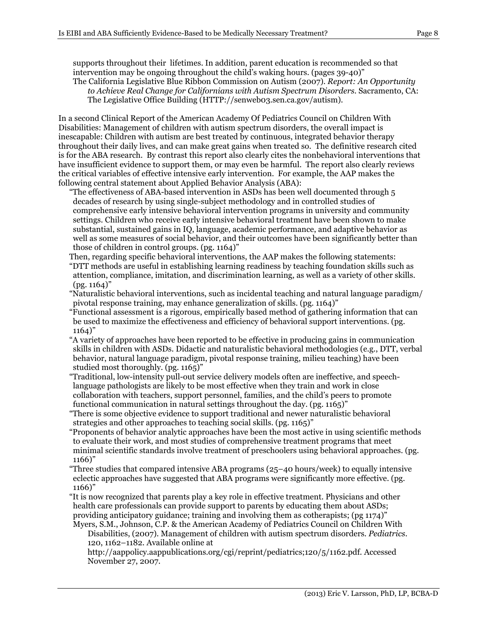supports throughout their lifetimes. In addition, parent education is recommended so that intervention may be ongoing throughout the child's waking hours. (pages 39-40)" The California Legislative Blue Ribbon Commission on Autism (2007). *Report: An Opportunity* 

*to Achieve Real Change for Californians with Autism Spectrum Disorders*. Sacramento, CA: The Legislative Office Building (HTTP://senweb03.sen.ca.gov/autism).

In a second Clinical Report of the American Academy Of Pediatrics Council on Children With Disabilities: Management of children with autism spectrum disorders, the overall impact is inescapable: Children with autism are best treated by continuous, integrated behavior therapy throughout their daily lives, and can make great gains when treated so. The definitive research cited is for the ABA research. By contrast this report also clearly cites the nonbehavioral interventions that have insufficient evidence to support them, or may even be harmful. The report also clearly reviews the critical variables of effective intensive early intervention. For example, the AAP makes the following central statement about Applied Behavior Analysis (ABA):

"The effectiveness of ABA-based intervention in ASDs has been well documented through 5 decades of research by using single-subject methodology and in controlled studies of comprehensive early intensive behavioral intervention programs in university and community settings. Children who receive early intensive behavioral treatment have been shown to make substantial, sustained gains in IQ, language, academic performance, and adaptive behavior as well as some measures of social behavior, and their outcomes have been significantly better than those of children in control groups. (pg. 1164)"

- Then, regarding specific behavioral interventions, the AAP makes the following statements: "DTT methods are useful in establishing learning readiness by teaching foundation skills such as attention, compliance, imitation, and discrimination learning, as well as a variety of other skills.  $($ pg.  $1164)$ "
- "Naturalistic behavioral interventions, such as incidental teaching and natural language paradigm/ pivotal response training, may enhance generalization of skills. (pg. 1164)"
- "Functional assessment is a rigorous, empirically based method of gathering information that can be used to maximize the effectiveness and efficiency of behavioral support interventions. (pg. 1164)"
- "A variety of approaches have been reported to be effective in producing gains in communication skills in children with ASDs. Didactic and naturalistic behavioral methodologies (e.g., DTT, verbal behavior, natural language paradigm, pivotal response training, milieu teaching) have been studied most thoroughly. (pg. 1165)"
- "Traditional, low-intensity pull-out service delivery models often are ineffective, and speechlanguage pathologists are likely to be most effective when they train and work in close collaboration with teachers, support personnel, families, and the child's peers to promote functional communication in natural settings throughout the day. (pg. 1165)"
- "There is some objective evidence to support traditional and newer naturalistic behavioral strategies and other approaches to teaching social skills. (pg. 1165)"
- "Proponents of behavior analytic approaches have been the most active in using scientific methods to evaluate their work, and most studies of comprehensive treatment programs that meet minimal scientific standards involve treatment of preschoolers using behavioral approaches. (pg. 1166)"
- "Three studies that compared intensive ABA programs (25–40 hours/week) to equally intensive eclectic approaches have suggested that ABA programs were significantly more effective. (pg. 1166)"
- "It is now recognized that parents play a key role in effective treatment. Physicians and other health care professionals can provide support to parents by educating them about ASDs; providing anticipatory guidance; training and involving them as cotherapists; (pg 1174)" Myers, S.M., Johnson, C.P. & the American Academy of Pediatrics Council on Children With

Disabilities, (2007). Management of children with autism spectrum disorders. *Pediatrics*. 120, 1162–1182. Available online at

http://aappolicy.aappublications.org/cgi/reprint/pediatrics;120/5/1162.pdf. Accessed November 27, 2007.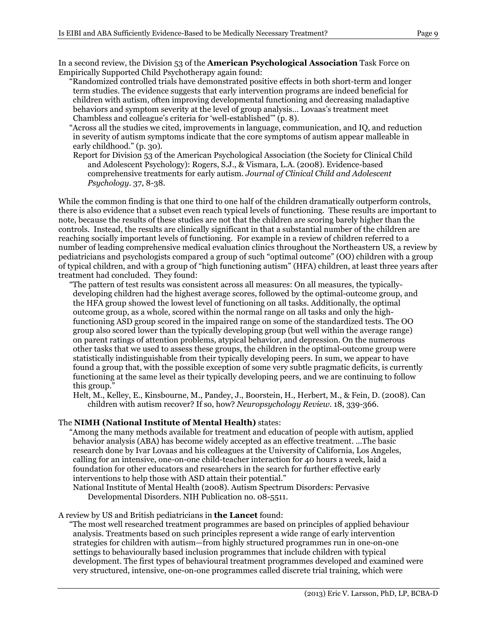In a second review, the Division 53 of the **American Psychological Association** Task Force on Empirically Supported Child Psychotherapy again found:

- "Randomized controlled trials have demonstrated positive effects in both short-term and longer term studies. The evidence suggests that early intervention programs are indeed beneficial for children with autism, often improving developmental functioning and decreasing maladaptive behaviors and symptom severity at the level of group analysis… Lovaas's treatment meet Chambless and colleague's criteria for 'well-established'" (p. 8).
- "Across all the studies we cited, improvements in language, communication, and IQ, and reduction in severity of autism symptoms indicate that the core symptoms of autism appear malleable in early childhood." (p. 30).
- Report for Division 53 of the American Psychological Association (the Society for Clinical Child and Adolescent Psychology): Rogers, S.J., & Vismara, L.A. (2008). Evidence-based comprehensive treatments for early autism. *Journal of Clinical Child and Adolescent Psychology*. 37, 8-38.

While the common finding is that one third to one half of the children dramatically outperform controls, there is also evidence that a subset even reach typical levels of functioning. These results are important to note, because the results of these studies are not that the children are scoring barely higher than the controls. Instead, the results are clinically significant in that a substantial number of the children are reaching socially important levels of functioning. For example in a review of children referred to a number of leading comprehensive medical evaluation clinics throughout the Northeastern US, a review by pediatricians and psychologists compared a group of such "optimal outcome" (OO) children with a group of typical children, and with a group of "high functioning autism" (HFA) children, at least three years after treatment had concluded. They found:

"The pattern of test results was consistent across all measures: On all measures, the typicallydeveloping children had the highest average scores, followed by the optimal-outcome group, and the HFA group showed the lowest level of functioning on all tasks. Additionally, the optimal outcome group, as a whole, scored within the normal range on all tasks and only the highfunctioning ASD group scored in the impaired range on some of the standardized tests. The OO group also scored lower than the typically developing group (but well within the average range) on parent ratings of attention problems, atypical behavior, and depression. On the numerous other tasks that we used to assess these groups, the children in the optimal-outcome group were statistically indistinguishable from their typically developing peers. In sum, we appear to have found a group that, with the possible exception of some very subtle pragmatic deficits, is currently functioning at the same level as their typically developing peers, and we are continuing to follow this group."

Helt, M., Kelley, E., Kinsbourne, M., Pandey, J., Boorstein, H., Herbert, M., & Fein, D. (2008). Can children with autism recover? If so, how? *Neuropsychology Review*. 18, 339-366.

## The **NIMH (National Institute of Mental Health)** states:

"Among the many methods available for treatment and education of people with autism, applied behavior analysis (ABA) has become widely accepted as an effective treatment. …The basic research done by Ivar Lovaas and his colleagues at the University of California, Los Angeles, calling for an intensive, one-on-one child-teacher interaction for 40 hours a week, laid a foundation for other educators and researchers in the search for further effective early interventions to help those with ASD attain their potential."

National Institute of Mental Health (2008). Autism Spectrum Disorders: Pervasive Developmental Disorders. NIH Publication no. 08-5511.

### A review by US and British pediatricians in **the Lancet** found:

"The most well researched treatment programmes are based on principles of applied behaviour analysis. Treatments based on such principles represent a wide range of early intervention strategies for children with autism—from highly structured programmes run in one-on-one settings to behaviourally based inclusion programmes that include children with typical development. The first types of behavioural treatment programmes developed and examined were very structured, intensive, one-on-one programmes called discrete trial training, which were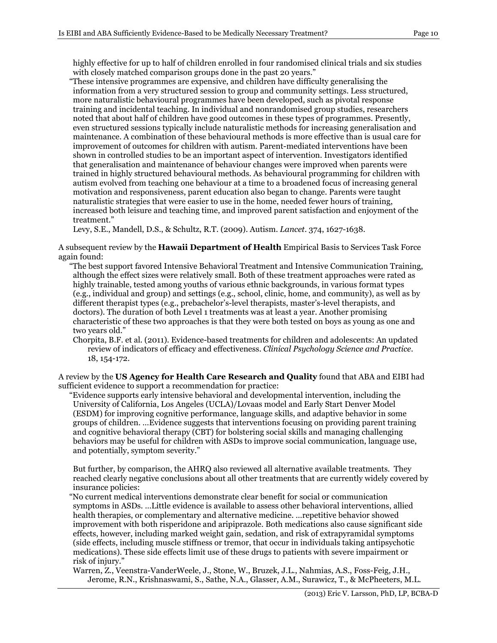highly effective for up to half of children enrolled in four randomised clinical trials and six studies with closely matched comparison groups done in the past 20 years."

"These intensive programmes are expensive, and children have difficulty generalising the information from a very structured session to group and community settings. Less structured, more naturalistic behavioural programmes have been developed, such as pivotal response training and incidental teaching. In individual and nonrandomised group studies, researchers noted that about half of children have good outcomes in these types of programmes. Presently, even structured sessions typically include naturalistic methods for increasing generalisation and maintenance. A combination of these behavioural methods is more effective than is usual care for improvement of outcomes for children with autism. Parent-mediated interventions have been shown in controlled studies to be an important aspect of intervention. Investigators identified that generalisation and maintenance of behaviour changes were improved when parents were trained in highly structured behavioural methods. As behavioural programming for children with autism evolved from teaching one behaviour at a time to a broadened focus of increasing general motivation and responsiveness, parent education also began to change. Parents were taught naturalistic strategies that were easier to use in the home, needed fewer hours of training, increased both leisure and teaching time, and improved parent satisfaction and enjoyment of the treatment."

Levy, S.E., Mandell, D.S., & Schultz, R.T. (2009). Autism. *Lancet*. 374, 1627-1638.

A subsequent review by the **Hawaii Department of Health** Empirical Basis to Services Task Force again found:

- "The best support favored Intensive Behavioral Treatment and Intensive Communication Training, although the effect sizes were relatively small. Both of these treatment approaches were rated as highly trainable, tested among youths of various ethnic backgrounds, in various format types (e.g., individual and group) and settings (e.g., school, clinic, home, and community), as well as by different therapist types (e.g., prebachelor's-level therapists, master's-level therapists, and doctors). The duration of both Level 1 treatments was at least a year. Another promising characteristic of these two approaches is that they were both tested on boys as young as one and two years old."
- Chorpita, B.F. et al. (2011). Evidence-based treatments for children and adolescents: An updated review of indicators of efficacy and effectiveness. *Clinical Psychology Science and Practice*. 18, 154-172.

A review by the **US Agency for Health Care Research and Quality** found that ABA and EIBI had sufficient evidence to support a recommendation for practice:

"Evidence supports early intensive behavioral and developmental intervention, including the University of California, Los Angeles (UCLA)/Lovaas model and Early Start Denver Model (ESDM) for improving cognitive performance, language skills, and adaptive behavior in some groups of children. …Evidence suggests that interventions focusing on providing parent training and cognitive behavioral therapy (CBT) for bolstering social skills and managing challenging behaviors may be useful for children with ASDs to improve social communication, language use, and potentially, symptom severity."

But further, by comparison, the AHRQ also reviewed all alternative available treatments. They reached clearly negative conclusions about all other treatments that are currently widely covered by insurance policies:

- "No current medical interventions demonstrate clear benefit for social or communication symptoms in ASDs. …Little evidence is available to assess other behavioral interventions, allied health therapies, or complementary and alternative medicine. …repetitive behavior showed improvement with both risperidone and aripiprazole. Both medications also cause significant side effects, however, including marked weight gain, sedation, and risk of extrapyramidal symptoms (side effects, including muscle stiffness or tremor, that occur in individuals taking antipsychotic medications). These side effects limit use of these drugs to patients with severe impairment or risk of injury."
- Warren, Z., Veenstra-VanderWeele, J., Stone, W., Bruzek, J.L., Nahmias, A.S., Foss-Feig, J.H., Jerome, R.N., Krishnaswami, S., Sathe, N.A., Glasser, A.M., Surawicz, T., & McPheeters, M.L.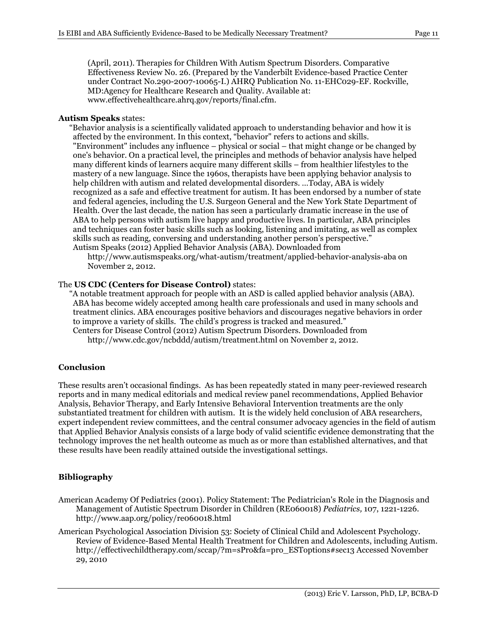(April, 2011). Therapies for Children With Autism Spectrum Disorders. Comparative Effectiveness Review No. 26. (Prepared by the Vanderbilt Evidence-based Practice Center under Contract No.290-2007-10065-I.) AHRQ Publication No. 11-EHC029-EF. Rockville, MD:Agency for Healthcare Research and Quality. Available at: www.effectivehealthcare.ahrq.gov/reports/final.cfm.

#### **Autism Speaks** states:

"Behavior analysis is a scientifically validated approach to understanding behavior and how it is affected by the environment. In this context, "behavior" refers to actions and skills. "Environment" includes any influence – physical or social – that might change or be changed by one's behavior. On a practical level, the principles and methods of behavior analysis have helped many different kinds of learners acquire many different skills – from healthier lifestyles to the mastery of a new language. Since the 1960s, therapists have been applying behavior analysis to help children with autism and related developmental disorders. …Today, ABA is widely recognized as a safe and effective treatment for autism. It has been endorsed by a number of state and federal agencies, including the U.S. Surgeon General and the New York State Department of Health. Over the last decade, the nation has seen a particularly dramatic increase in the use of ABA to help persons with autism live happy and productive lives. In particular, ABA principles and techniques can foster basic skills such as looking, listening and imitating, as well as complex skills such as reading, conversing and understanding another person's perspective." Autism Speaks (2012) Applied Behavior Analysis (ABA). Downloaded from

http://www.autismspeaks.org/what-autism/treatment/applied-behavior-analysis-aba on November 2, 2012.

#### The **US CDC (Centers for Disease Control)** states:

"A notable treatment approach for people with an ASD is called applied behavior analysis (ABA). ABA has become widely accepted among health care professionals and used in many schools and treatment clinics. ABA encourages positive behaviors and discourages negative behaviors in order to improve a variety of skills. The child's progress is tracked and measured." Centers for Disease Control (2012) Autism Spectrum Disorders. Downloaded from http://www.cdc.gov/ncbddd/autism/treatment.html on November 2, 2012.

### **Conclusion**

These results aren't occasional findings. As has been repeatedly stated in many peer-reviewed research reports and in many medical editorials and medical review panel recommendations, Applied Behavior Analysis, Behavior Therapy, and Early Intensive Behavioral Intervention treatments are the only substantiated treatment for children with autism. It is the widely held conclusion of ABA researchers, expert independent review committees, and the central consumer advocacy agencies in the field of autism that Applied Behavior Analysis consists of a large body of valid scientific evidence demonstrating that the technology improves the net health outcome as much as or more than established alternatives, and that these results have been readily attained outside the investigational settings.

### **Bibliography**

- American Academy Of Pediatrics (2001). Policy Statement: The Pediatrician's Role in the Diagnosis and Management of Autistic Spectrum Disorder in Children (RE060018) *Pediatrics,* 107, 1221-1226. http://www.aap.org/policy/re060018.html
- American Psychological Association Division 53: Society of Clinical Child and Adolescent Psychology. Review of Evidence-Based Mental Health Treatment for Children and Adolescents, including Autism. http://effectivechildtherapy.com/sccap/?m=sPro&fa=pro\_ESToptions#sec13 Accessed November 29, 2010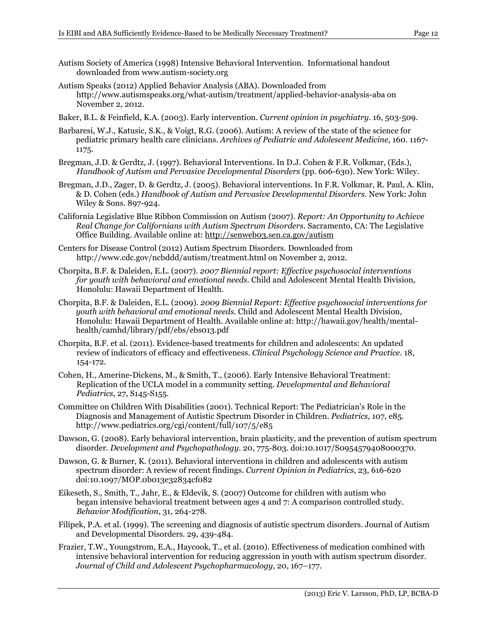- Autism Society of America (1998) Intensive Behavioral Intervention. Informational handout downloaded from www.autism-society.org
- Autism Speaks (2012) Applied Behavior Analysis (ABA). Downloaded from http://www.autismspeaks.org/what-autism/treatment/applied-behavior-analysis-aba on November 2, 2012.
- Baker, B.L. & Feinfield, K.A. (2003). Early intervention. *Current opinion in psychiatry.* 16, 503-509.
- Barbaresi, W.J., Katusic, S.K., & Voigt, R.G. (2006). Autism: A review of the state of the science for pediatric primary health care clinicians. *Archives of Pediatric and Adolescent Medicine*, 160. 1167- 1175.
- Bregman, J.D. & Gerdtz, J. (1997). Behavioral Interventions. In D.J. Cohen & F.R. Volkmar, (Eds.), *Handbook of Autism and Pervasive Developmental Disorders* (pp. 606-630). New York: Wiley.
- Bregman, J.D., Zager, D. & Gerdtz, J. (2005). Behavioral interventions. In F.R. Volkmar, R. Paul, A. Klin, & D. Cohen (eds.) *Handbook of Autism and Pervasive Developmental Disorders.* New York: John Wiley & Sons. 897-924.
- California Legislative Blue Ribbon Commission on Autism (2007). *Report: An Opportunity to Achieve Real Change for Californians with Autism Spectrum Disorders*. Sacramento, CA: The Legislative Office Building. Available online at: http://senweb03.sen.ca.gov/autism
- Centers for Disease Control (2012) Autism Spectrum Disorders. Downloaded from http://www.cdc.gov/ncbddd/autism/treatment.html on November 2, 2012.
- Chorpita, B.F. & Daleiden, E.L. (2007). *2007 Biennial report: Effective psychosocial interventions for youth with behavioral and emotional needs.* Child and Adolescent Mental Health Division, Honolulu: Hawaii Department of Health.
- Chorpita, B.F. & Daleiden, E.L. (2009). *2009 Biennial Report: Effective psychosocial interventions for youth with behavioral and emotional needs.* Child and Adolescent Mental Health Division, Honolulu: Hawaii Department of Health. Available online at: http://hawaii.gov/health/mentalhealth/camhd/library/pdf/ebs/ebs013.pdf
- Chorpita, B.F. et al. (2011). Evidence-based treatments for children and adolescents: An updated review of indicators of efficacy and effectiveness. *Clinical Psychology Science and Practice*. 18, 154-172.
- Cohen, H., Amerine-Dickens, M., & Smith, T., (2006). Early Intensive Behavioral Treatment: Replication of the UCLA model in a community setting. *Developmental and Behavioral Pediatrics*, 27, S145-S155.
- Committee on Children With Disabilities (2001). Technical Report: The Pediatrician's Role in the Diagnosis and Management of Autistic Spectrum Disorder in Children. *Pediatrics,* 107, e85. http://www.pediatrics.org/cgi/content/full/107/5/e85
- Dawson, G. (2008). Early behavioral intervention, brain plasticity, and the prevention of autism spectrum disorder. *Development and Psychopathology*. 20, 775-803. doi:10.1017/S0954579408000370.
- Dawson, G. & Burner, K. (2011). Behavioral interventions in children and adolescents with autism spectrum disorder: A review of recent findings. *Current Opinion in Pediatrics*, 23, 616-620 doi:10.1097/MOP.0b013e32834cf082
- Eikeseth, S., Smith, T., Jahr, E., & Eldevik, S. (2007) Outcome for children with autism who began intensive behavioral treatment between ages 4 and 7: A comparison controlled study. *Behavior Modification*, 31, 264-278.
- Filipek, P.A. et al. (1999). The screening and diagnosis of autistic spectrum disorders. Journal of Autism and Developmental Disorders. 29, 439-484.
- Frazier, T.W., Youngstrom, E.A., Haycook, T., et al. (2010). Effectiveness of medication combined with intensive behavioral intervention for reducing aggression in youth with autism spectrum disorder. *Journal of Child and Adolescent Psychopharmacology*, 20, 167–177.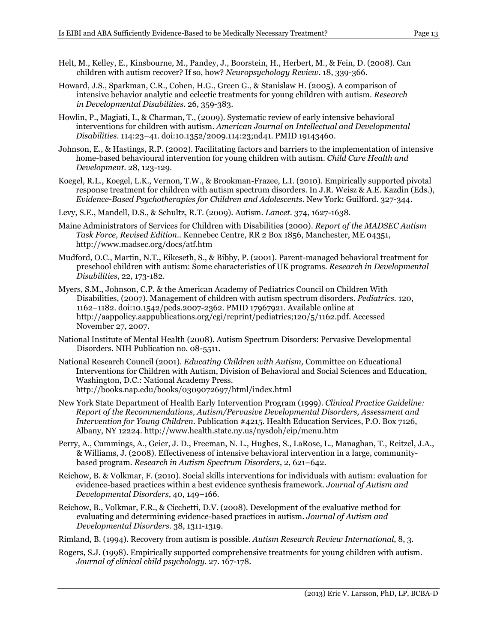- Helt, M., Kelley, E., Kinsbourne, M., Pandey, J., Boorstein, H., Herbert, M., & Fein, D. (2008). Can children with autism recover? If so, how? *Neuropsychology Review*. 18, 339-366.
- Howard, J.S., Sparkman, C.R., Cohen, H.G., Green G., & Stanislaw H. (2005). A comparison of intensive behavior analytic and eclectic treatments for young children with autism. *Research in Developmental Disabilities*. 26, 359-383.
- Howlin, P., Magiati, I., & Charman, T., (2009). Systematic review of early intensive behavioral interventions for children with autism. *American Journal on Intellectual and Developmental Disabilities*. 114:23–41. doi:10.1352/2009.114:23;nd41. PMID 19143460.
- Johnson, E., & Hastings, R.P. (2002). Facilitating factors and barriers to the implementation of intensive home-based behavioural intervention for young children with autism. *Child Care Health and Development*. 28, 123-129.
- Koegel, R.L., Koegel, L.K., Vernon, T.W., & Brookman-Frazee, L.I. (2010). Empirically supported pivotal response treatment for children with autism spectrum disorders. In J.R. Weisz & A.E. Kazdin (Eds.), *Evidence-Based Psychotherapies for Children and Adolescents*. New York: Guilford. 327-344.
- Levy, S.E., Mandell, D.S., & Schultz, R.T. (2009). Autism. *Lancet*. 374, 1627-1638.
- Maine Administrators of Services for Children with Disabilities (2000). *Report of the MADSEC Autism Task Force, Revised Edition..* Kennebec Centre, RR 2 Box 1856, Manchester, ME 04351, http://www.madsec.org/docs/atf.htm
- Mudford, O.C., Martin, N.T., Eikeseth, S., & Bibby, P. (2001). Parent-managed behavioral treatment for preschool children with autism: Some characteristics of UK programs. *Research in Developmental Disabilities*, 22, 173-182.
- Myers, S.M., Johnson, C.P. & the American Academy of Pediatrics Council on Children With Disabilities, (2007). Management of children with autism spectrum disorders. *Pediatrics*. 120, 1162–1182. doi:10.1542/peds.2007-2362. PMID 17967921. Available online at http://aappolicy.aappublications.org/cgi/reprint/pediatrics;120/5/1162.pdf. Accessed November 27, 2007.
- National Institute of Mental Health (2008). Autism Spectrum Disorders: Pervasive Developmental Disorders. NIH Publication no. 08-5511.
- National Research Council (2001). *Educating Children with Autism,* Committee on Educational Interventions for Children with Autism, Division of Behavioral and Social Sciences and Education, Washington, D.C.: National Academy Press. http://books.nap.edu/books/0309072697/html/index.html
- New York State Department of Health Early Intervention Program (1999). *Clinical Practice Guideline: Report of the Recommendations, Autism/Pervasive Developmental Disorders, Assessment and Intervention for Young Children.* Publication #4215. Health Education Services, P.O. Box 7126, Albany, NY 12224. http://www.health.state.ny.us/nysdoh/eip/menu.htm
- Perry, A., Cummings, A., Geier, J. D., Freeman, N. L., Hughes, S., LaRose, L., Managhan, T., Reitzel, J.A., & Williams, J. (2008). Effectiveness of intensive behavioral intervention in a large, communitybased program. *Research in Autism Spectrum Disorders*, 2, 621–642.
- Reichow, B. & Volkmar, F. (2010). Social skills interventions for individuals with autism: evaluation for evidence-based practices within a best evidence synthesis framework. *Journal of Autism and Developmental Disorders*, 40, 149–166.
- Reichow, B., Volkmar, F.R., & Cicchetti, D.V. (2008). Development of the evaluative method for evaluating and determining evidence-based practices in autism. *Journal of Autism and Developmental Disorders.* 38, 1311-1319.
- Rimland, B. (1994). Recovery from autism is possible. *Autism Research Review International*, 8, 3.
- Rogers, S.J. (1998). Empirically supported comprehensive treatments for young children with autism. *Journal of clinical child psychology.* 27. 167-178.